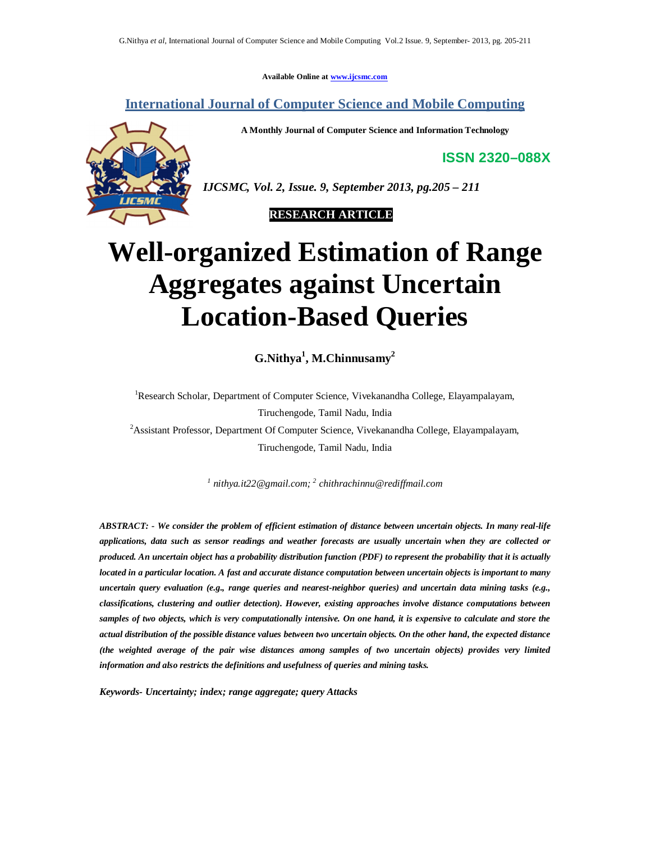**Available Online at www.ijcsmc.com**

**International Journal of Computer Science and Mobile Computing**

**A Monthly Journal of Computer Science and Information Technology**

**ISSN 2320–088X**



*IJCSMC, Vol. 2, Issue. 9, September 2013, pg.205 – 211*

 **RESEARCH ARTICLE**

# **Well-organized Estimation of Range Aggregates against Uncertain Location-Based Queries**

**G.Nithya<sup>1</sup> , M.Chinnusamy<sup>2</sup>**

<sup>1</sup>Research Scholar, Department of Computer Science, Vivekanandha College, Elayampalayam, Tiruchengode, Tamil Nadu, India <sup>2</sup>Assistant Professor, Department Of Computer Science, Vivekanandha College, Elayampalayam, Tiruchengode, Tamil Nadu, India

*1 nithya.it22@gmail.com; 2 chithrachinnu@rediffmail.com*

*ABSTRACT: - We consider the problem of efficient estimation of distance between uncertain objects. In many real-life applications, data such as sensor readings and weather forecasts are usually uncertain when they are collected or produced. An uncertain object has a probability distribution function (PDF) to represent the probability that it is actually located in a particular location. A fast and accurate distance computation between uncertain objects is important to many uncertain query evaluation (e.g., range queries and nearest-neighbor queries) and uncertain data mining tasks (e.g., classifications, clustering and outlier detection). However, existing approaches involve distance computations between samples of two objects, which is very computationally intensive. On one hand, it is expensive to calculate and store the actual distribution of the possible distance values between two uncertain objects. On the other hand, the expected distance (the weighted average of the pair wise distances among samples of two uncertain objects) provides very limited information and also restricts the definitions and usefulness of queries and mining tasks.*

*Keywords- Uncertainty; index; range aggregate; query Attacks*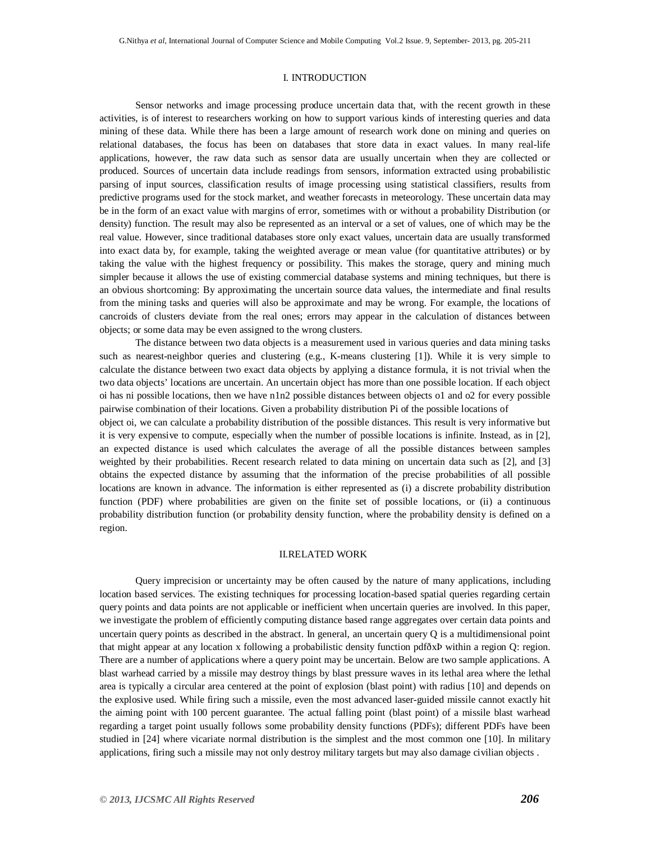## I. INTRODUCTION

Sensor networks and image processing produce uncertain data that, with the recent growth in these activities, is of interest to researchers working on how to support various kinds of interesting queries and data mining of these data. While there has been a large amount of research work done on mining and queries on relational databases, the focus has been on databases that store data in exact values. In many real-life applications, however, the raw data such as sensor data are usually uncertain when they are collected or produced. Sources of uncertain data include readings from sensors, information extracted using probabilistic parsing of input sources, classification results of image processing using statistical classifiers, results from predictive programs used for the stock market, and weather forecasts in meteorology. These uncertain data may be in the form of an exact value with margins of error, sometimes with or without a probability Distribution (or density) function. The result may also be represented as an interval or a set of values, one of which may be the real value. However, since traditional databases store only exact values, uncertain data are usually transformed into exact data by, for example, taking the weighted average or mean value (for quantitative attributes) or by taking the value with the highest frequency or possibility. This makes the storage, query and mining much simpler because it allows the use of existing commercial database systems and mining techniques, but there is an obvious shortcoming: By approximating the uncertain source data values, the intermediate and final results from the mining tasks and queries will also be approximate and may be wrong. For example, the locations of cancroids of clusters deviate from the real ones; errors may appear in the calculation of distances between objects; or some data may be even assigned to the wrong clusters.

 The distance between two data objects is a measurement used in various queries and data mining tasks such as nearest-neighbor queries and clustering (e.g., K-means clustering [1]). While it is very simple to calculate the distance between two exact data objects by applying a distance formula, it is not trivial when the two data objects' locations are uncertain. An uncertain object has more than one possible location. If each object oi has ni possible locations, then we have n1n2 possible distances between objects o1 and o2 for every possible pairwise combination of their locations. Given a probability distribution Pi of the possible locations of

object oi, we can calculate a probability distribution of the possible distances. This result is very informative but it is very expensive to compute, especially when the number of possible locations is infinite. Instead, as in [2], an expected distance is used which calculates the average of all the possible distances between samples weighted by their probabilities. Recent research related to data mining on uncertain data such as [2], and [3] obtains the expected distance by assuming that the information of the precise probabilities of all possible locations are known in advance. The information is either represented as (i) a discrete probability distribution function (PDF) where probabilities are given on the finite set of possible locations, or (ii) a continuous probability distribution function (or probability density function, where the probability density is defined on a region.

## II.RELATED WORK

Query imprecision or uncertainty may be often caused by the nature of many applications, including location based services. The existing techniques for processing location-based spatial queries regarding certain query points and data points are not applicable or inefficient when uncertain queries are involved. In this paper, we investigate the problem of efficiently computing distance based range aggregates over certain data points and uncertain query points as described in the abstract. In general, an uncertain query Q is a multidimensional point that might appear at any location x following a probabilistic density function pdfðxÞ within a region Q: region. There are a number of applications where a query point may be uncertain. Below are two sample applications. A blast warhead carried by a missile may destroy things by blast pressure waves in its lethal area where the lethal area is typically a circular area centered at the point of explosion (blast point) with radius [10] and depends on the explosive used. While firing such a missile, even the most advanced laser-guided missile cannot exactly hit the aiming point with 100 percent guarantee. The actual falling point (blast point) of a missile blast warhead regarding a target point usually follows some probability density functions (PDFs); different PDFs have been studied in [24] where vicariate normal distribution is the simplest and the most common one [10]. In military applications, firing such a missile may not only destroy military targets but may also damage civilian objects .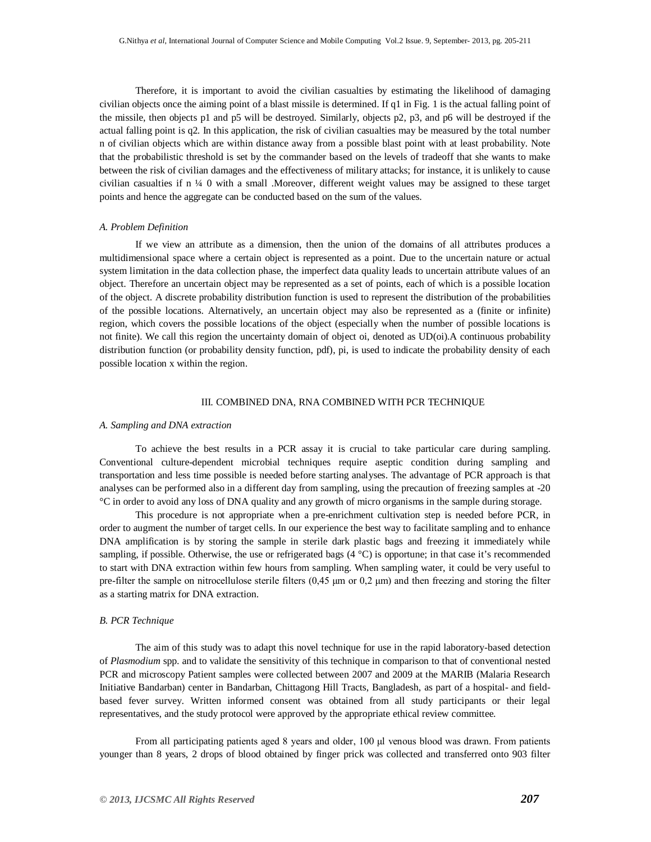Therefore, it is important to avoid the civilian casualties by estimating the likelihood of damaging civilian objects once the aiming point of a blast missile is determined. If q1 in Fig. 1 is the actual falling point of the missile, then objects p1 and p5 will be destroyed. Similarly, objects p2, p3, and p6 will be destroyed if the actual falling point is q2. In this application, the risk of civilian casualties may be measured by the total number n of civilian objects which are within distance away from a possible blast point with at least probability. Note that the probabilistic threshold is set by the commander based on the levels of tradeoff that she wants to make between the risk of civilian damages and the effectiveness of military attacks; for instance, it is unlikely to cause civilian casualties if n ¼ 0 with a small .Moreover, different weight values may be assigned to these target points and hence the aggregate can be conducted based on the sum of the values.

#### *A. Problem Definition*

If we view an attribute as a dimension, then the union of the domains of all attributes produces a multidimensional space where a certain object is represented as a point. Due to the uncertain nature or actual system limitation in the data collection phase, the imperfect data quality leads to uncertain attribute values of an object. Therefore an uncertain object may be represented as a set of points, each of which is a possible location of the object. A discrete probability distribution function is used to represent the distribution of the probabilities of the possible locations. Alternatively, an uncertain object may also be represented as a (finite or infinite) region, which covers the possible locations of the object (especially when the number of possible locations is not finite). We call this region the uncertainty domain of object oi, denoted as UD(oi).A continuous probability distribution function (or probability density function, pdf), pi, is used to indicate the probability density of each possible location x within the region.

#### III. COMBINED DNA, RNA COMBINED WITH PCR TECHNIQUE

#### *A. Sampling and DNA extraction*

To achieve the best results in a PCR assay it is crucial to take particular care during sampling. Conventional culture-dependent microbial techniques require aseptic condition during sampling and transportation and less time possible is needed before starting analyses. The advantage of PCR approach is that analyses can be performed also in a different day from sampling, using the precaution of freezing samples at -20 °C in order to avoid any loss of DNA quality and any growth of micro organisms in the sample during storage.

This procedure is not appropriate when a pre-enrichment cultivation step is needed before PCR, in order to augment the number of target cells. In our experience the best way to facilitate sampling and to enhance DNA amplification is by storing the sample in sterile dark plastic bags and freezing it immediately while sampling, if possible. Otherwise, the use or refrigerated bags  $(4 °C)$  is opportune; in that case it's recommended to start with DNA extraction within few hours from sampling. When sampling water, it could be very useful to pre-filter the sample on nitrocellulose sterile filters (0,45 μm or 0,2 μm) and then freezing and storing the filter as a starting matrix for DNA extraction.

## *B. PCR Technique*

The aim of this study was to adapt this novel technique for use in the rapid laboratory-based detection of *Plasmodium* spp. and to validate the sensitivity of this technique in comparison to that of conventional nested PCR and microscopy Patient samples were collected between 2007 and 2009 at the MARIB (Malaria Research Initiative Bandarban) center in Bandarban, Chittagong Hill Tracts, Bangladesh, as part of a hospital- and fieldbased fever survey. Written informed consent was obtained from all study participants or their legal representatives, and the study protocol were approved by the appropriate ethical review committee.

From all participating patients aged 8 years and older, 100 μl venous blood was drawn. From patients younger than 8 years, 2 drops of blood obtained by finger prick was collected and transferred onto 903 filter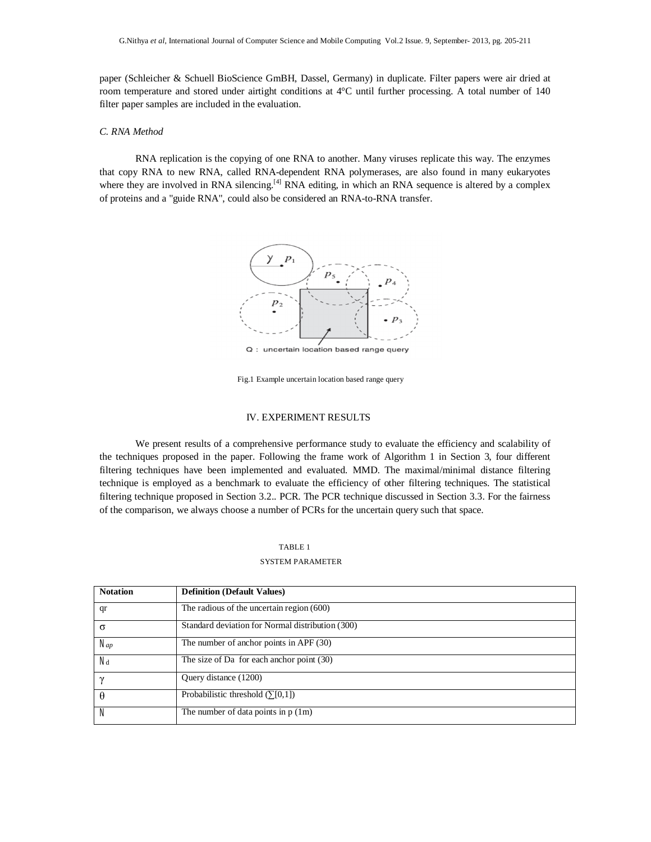paper (Schleicher & Schuell BioScience GmBH, Dassel, Germany) in duplicate. Filter papers were air dried at room temperature and stored under airtight conditions at 4°C until further processing. A total number of 140 filter paper samples are included in the evaluation.

# *C. RNA Method*

RNA replication is the copying of one RNA to another. Many viruses replicate this way. The enzymes that copy RNA to new RNA, called RNA-dependent RNA polymerases, are also found in many eukaryotes where they are involved in RNA silencing.<sup>[4]</sup> RNA editing, in which an RNA sequence is altered by a complex of proteins and a "guide RNA", could also be considered an RNA-to-RNA transfer.



Q : uncertain location based range query

Fig.1 Example uncertain location based range query

# IV. EXPERIMENT RESULTS

We present results of a comprehensive performance study to evaluate the efficiency and scalability of the techniques proposed in the paper. Following the frame work of Algorithm 1 in Section 3, four different filtering techniques have been implemented and evaluated. MMD. The maximal/minimal distance filtering technique is employed as a benchmark to evaluate the efficiency of other filtering techniques. The statistical filtering technique proposed in Section 3.2.. PCR. The PCR technique discussed in Section 3.3. For the fairness of the comparison, we always choose a number of PCRs for the uncertain query such that space.

#### TABLE 1

### SYSTEM PARAMETER

| <b>Notation</b> | <b>Definition (Default Values)</b>               |
|-----------------|--------------------------------------------------|
| qr              | The radious of the uncertain region $(600)$      |
| σ               | Standard deviation for Normal distribution (300) |
| Nap             | The number of anchor points in APF $(30)$        |
| Лá              | The size of Da for each anchor point $(30)$      |
| $\gamma$        | Query distance (1200)                            |
| θ               | Probabilistic threshold $(\Sigma[0,1])$          |
| $\mathcal N$    | The number of data points in $p(1m)$             |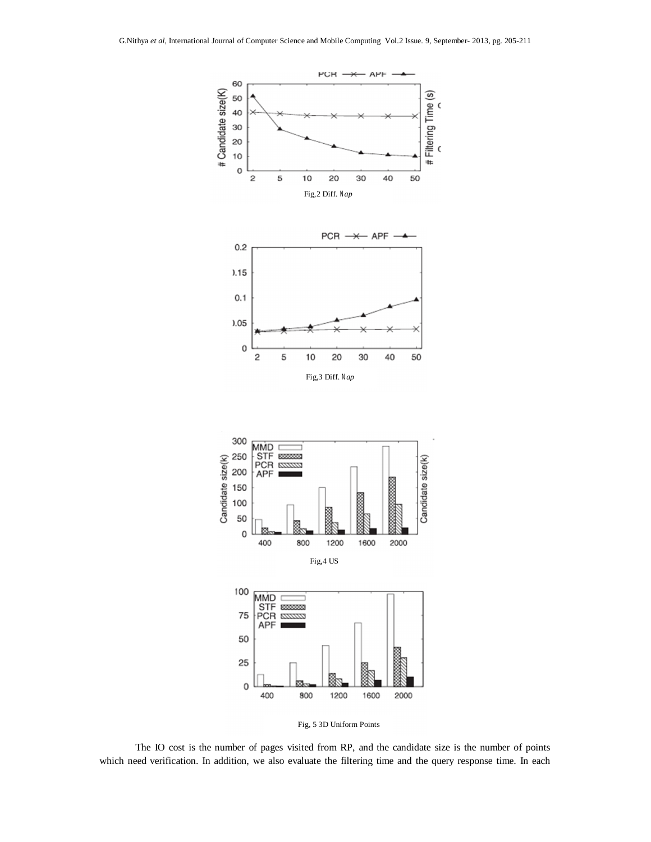

Fig,4 US



Fig, 5 3D Uniform Points

The IO cost is the number of pages visited from RP, and the candidate size is the number of points which need verification. In addition, we also evaluate the filtering time and the query response time. In each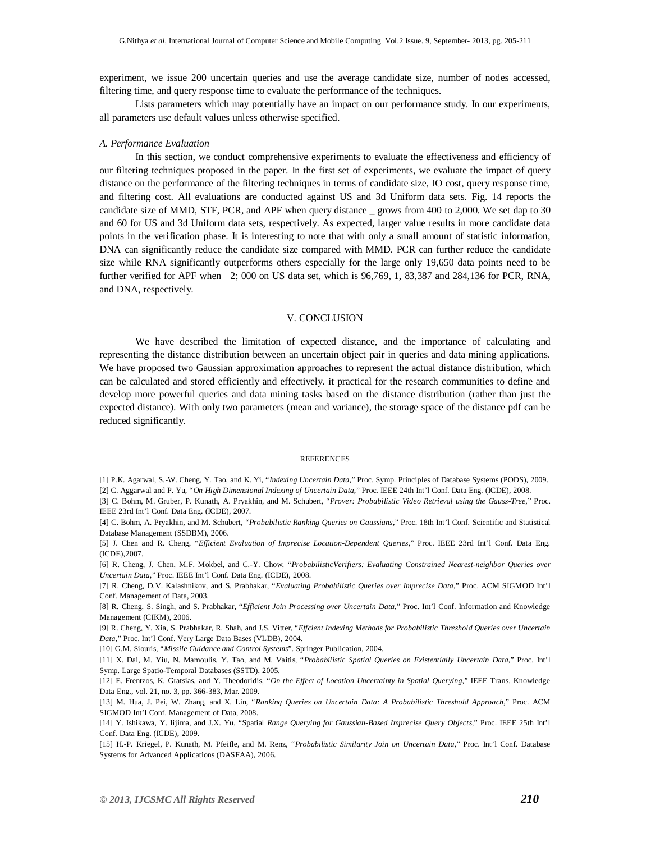experiment, we issue 200 uncertain queries and use the average candidate size, number of nodes accessed, filtering time, and query response time to evaluate the performance of the techniques.

Lists parameters which may potentially have an impact on our performance study. In our experiments, all parameters use default values unless otherwise specified.

#### *A. Performance Evaluation*

In this section, we conduct comprehensive experiments to evaluate the effectiveness and efficiency of our filtering techniques proposed in the paper. In the first set of experiments, we evaluate the impact of query distance on the performance of the filtering techniques in terms of candidate size, IO cost, query response time, and filtering cost. All evaluations are conducted against US and 3d Uniform data sets. Fig. 14 reports the candidate size of MMD, STF, PCR, and APF when query distance \_ grows from 400 to 2,000. We set dap to 30 and 60 for US and 3d Uniform data sets, respectively. As expected, larger value results in more candidate data points in the verification phase. It is interesting to note that with only a small amount of statistic information, DNA can significantly reduce the candidate size compared with MMD. PCR can further reduce the candidate size while RNA significantly outperforms others especially for the large only 19,650 data points need to be further verified for APF when 2; 000 on US data set, which is 96,769, 1, 83,387 and 284,136 for PCR, RNA, and DNA, respectively.

# V. CONCLUSION

We have described the limitation of expected distance, and the importance of calculating and representing the distance distribution between an uncertain object pair in queries and data mining applications. We have proposed two Gaussian approximation approaches to represent the actual distance distribution, which can be calculated and stored efficiently and effectively. it practical for the research communities to define and develop more powerful queries and data mining tasks based on the distance distribution (rather than just the expected distance). With only two parameters (mean and variance), the storage space of the distance pdf can be reduced significantly.

#### **REFERENCES**

[1] P.K. Agarwal, S.-W. Cheng, Y. Tao, and K. Yi, "*Indexing Uncertain Data*," Proc. Symp. Principles of Database Systems (PODS), 2009. [2] C. Aggarwal and P. Yu, "*On High Dimensional Indexing of Uncertain Data*," Proc. IEEE 24th Int'l Conf. Data Eng. (ICDE), 2008.

[3] C. Bohm, M. Gruber, P. Kunath, A. Pryakhin, and M. Schubert, "*Prover: Probabilistic Video Retrieval using the Gauss-Tree*," Proc. IEEE 23rd Int'l Conf. Data Eng. (ICDE), 2007.

[4] C. Bohm, A. Pryakhin, and M. Schubert, "*Probabilistic Ranking Queries on Gaussians*," Proc. 18th Int'l Conf. Scientific and Statistical Database Management (SSDBM), 2006.

[5] J. Chen and R. Cheng, "*Efficient Evaluation of Imprecise Location-Dependent Queries*," Proc. IEEE 23rd Int'l Conf. Data Eng. (ICDE),2007.

[6] R. Cheng, J. Chen, M.F. Mokbel, and C.-Y. Chow, "*ProbabilisticVerifiers: Evaluating Constrained Nearest-neighbor Queries over Uncertain Data*," Proc. IEEE Int'l Conf. Data Eng. (ICDE), 2008.

[7] R. Cheng, D.V. Kalashnikov, and S. Prabhakar, "*Evaluating Probabilistic Queries over Imprecise Data*," Proc. ACM SIGMOD Int'l Conf. Management of Data, 2003.

[8] R. Cheng, S. Singh, and S. Prabhakar, "*Efficient Join Processing over Uncertain Data*," Proc. Int'l Conf. Information and Knowledge Management (CIKM), 2006.

[9] R. Cheng, Y. Xia, S. Prabhakar, R. Shah, and J.S. Vitter, "*Effcient Indexing Methods for Probabilistic Threshold Queries over Uncertain Data*," Proc. Int'l Conf. Very Large Data Bases (VLDB), 2004.

[10] G.M. Siouris, "*Missile Guidance and Control Systems*". Springer Publication, 2004.

[11] X. Dai, M. Yiu, N. Mamoulis, Y. Tao, and M. Vaitis, "*Probabilistic Spatial Queries on Existentially Uncertain Data*," Proc. Int'l Symp. Large Spatio-Temporal Databases (SSTD), 2005.

[12] E. Frentzos, K. Gratsias, and Y. Theodoridis, "*On the Effect of Location Uncertainty in Spatial Querying*," IEEE Trans. Knowledge Data Eng., vol. 21, no. 3, pp. 366-383, Mar. 2009.

[13] M. Hua, J. Pei, W. Zhang, and X. Lin, "*Ranking Queries on Uncertain Data: A Probabilistic Threshold Approach*," Proc. ACM SIGMOD Int'l Conf. Management of Data, 2008.

[14] Y. Ishikawa, Y. Iijima, and J.X. Yu, "Spatial *Range Querying for Gaussian-Based Imprecise Query Objects*," Proc. IEEE 25th Int'l Conf. Data Eng. (ICDE), 2009.

[15] H.-P. Kriegel, P. Kunath, M. Pfeifle, and M. Renz, "*Probabilistic Similarity Join on Uncertain Data*," Proc. Int'l Conf. Database Systems for Advanced Applications (DASFAA), 2006.